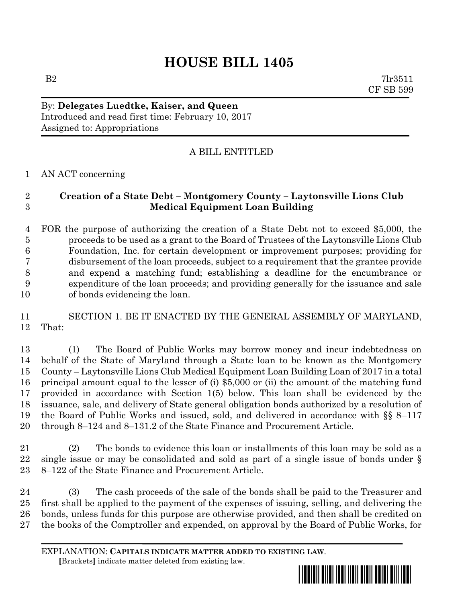## **HOUSE BILL 1405**

 $B2$   $7lr3511$ CF SB 599

By: **Delegates Luedtke, Kaiser, and Queen** Introduced and read first time: February 10, 2017 Assigned to: Appropriations

## A BILL ENTITLED

AN ACT concerning

## **Creation of a State Debt – Montgomery County – Laytonsville Lions Club Medical Equipment Loan Building**

 FOR the purpose of authorizing the creation of a State Debt not to exceed \$5,000, the proceeds to be used as a grant to the Board of Trustees of the Laytonsville Lions Club Foundation, Inc. for certain development or improvement purposes; providing for disbursement of the loan proceeds, subject to a requirement that the grantee provide and expend a matching fund; establishing a deadline for the encumbrance or expenditure of the loan proceeds; and providing generally for the issuance and sale of bonds evidencing the loan.

 SECTION 1. BE IT ENACTED BY THE GENERAL ASSEMBLY OF MARYLAND, That:

 (1) The Board of Public Works may borrow money and incur indebtedness on behalf of the State of Maryland through a State loan to be known as the Montgomery County – Laytonsville Lions Club Medical Equipment Loan Building Loan of 2017 in a total principal amount equal to the lesser of (i) \$5,000 or (ii) the amount of the matching fund provided in accordance with Section 1(5) below. This loan shall be evidenced by the issuance, sale, and delivery of State general obligation bonds authorized by a resolution of the Board of Public Works and issued, sold, and delivered in accordance with §§ 8–117 through 8–124 and 8–131.2 of the State Finance and Procurement Article.

 (2) The bonds to evidence this loan or installments of this loan may be sold as a single issue or may be consolidated and sold as part of a single issue of bonds under § 8–122 of the State Finance and Procurement Article.

 (3) The cash proceeds of the sale of the bonds shall be paid to the Treasurer and first shall be applied to the payment of the expenses of issuing, selling, and delivering the bonds, unless funds for this purpose are otherwise provided, and then shall be credited on the books of the Comptroller and expended, on approval by the Board of Public Works, for

EXPLANATION: **CAPITALS INDICATE MATTER ADDED TO EXISTING LAW**.  **[**Brackets**]** indicate matter deleted from existing law.